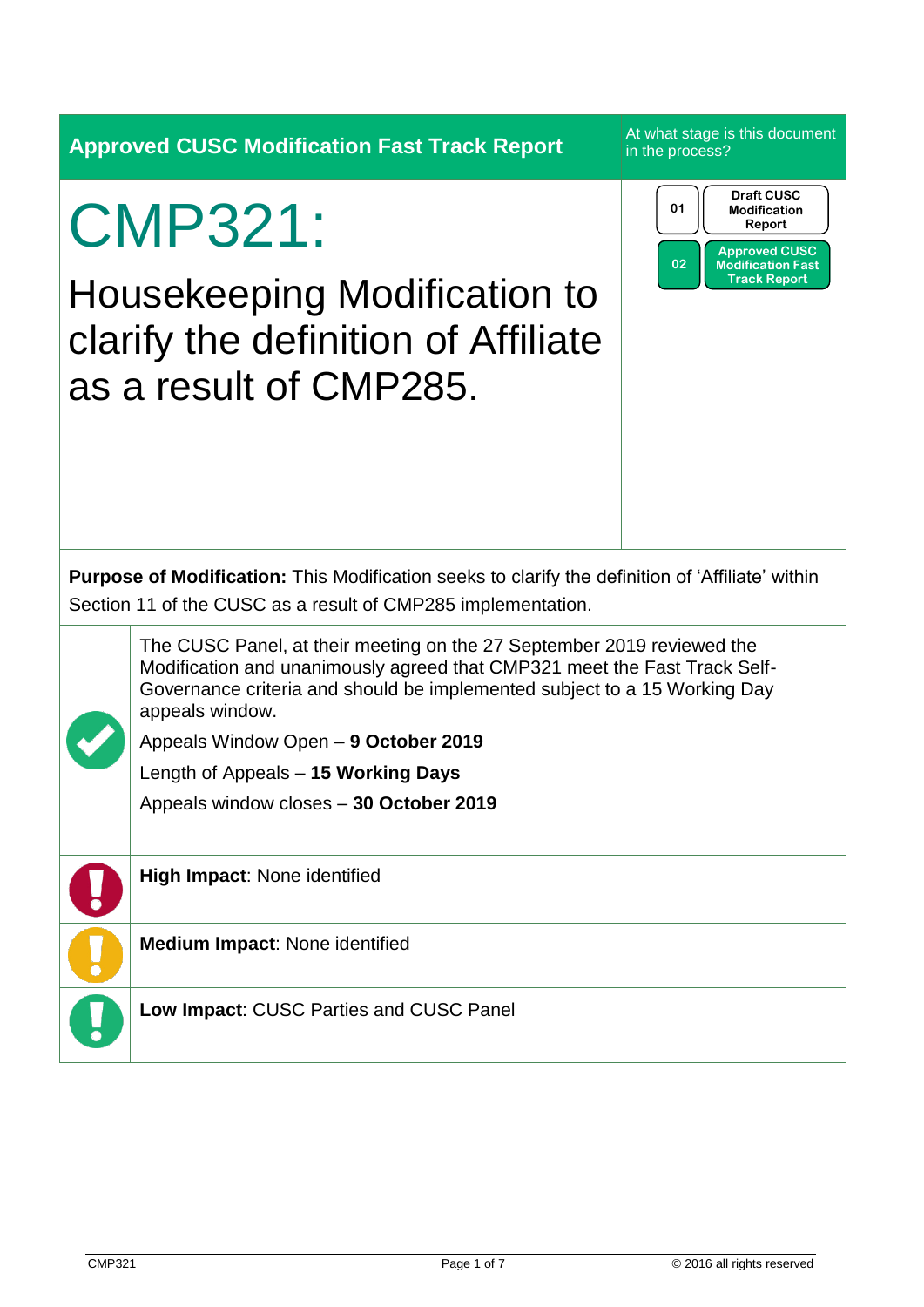|                                                                                                                                                                         | <b>Approved CUSC Modification Fast Track Report</b>                                                                                                                                                                                                                                         | At what stage is this document<br>in the process?                                                                                         |  |  |  |
|-------------------------------------------------------------------------------------------------------------------------------------------------------------------------|---------------------------------------------------------------------------------------------------------------------------------------------------------------------------------------------------------------------------------------------------------------------------------------------|-------------------------------------------------------------------------------------------------------------------------------------------|--|--|--|
|                                                                                                                                                                         | <b>CMP321:</b><br><b>Housekeeping Modification to</b><br>clarify the definition of Affiliate<br>as a result of CMP285.                                                                                                                                                                      | <b>Draft CUSC</b><br>01<br><b>Modification</b><br>Report<br><b>Approved CUSC</b><br>02<br><b>Modification Fast</b><br><b>Track Report</b> |  |  |  |
| <b>Purpose of Modification:</b> This Modification seeks to clarify the definition of 'Affiliate' within<br>Section 11 of the CUSC as a result of CMP285 implementation. |                                                                                                                                                                                                                                                                                             |                                                                                                                                           |  |  |  |
|                                                                                                                                                                         | The CUSC Panel, at their meeting on the 27 September 2019 reviewed the<br>Modification and unanimously agreed that CMP321 meet the Fast Track Self-<br>Governance criteria and should be implemented subject to a 15 Working Day<br>appeals window.<br>Appeals Window Open - 9 October 2019 |                                                                                                                                           |  |  |  |
|                                                                                                                                                                         |                                                                                                                                                                                                                                                                                             |                                                                                                                                           |  |  |  |
|                                                                                                                                                                         | Length of Appeals - 15 Working Days<br>Appeals window closes - 30 October 2019                                                                                                                                                                                                              |                                                                                                                                           |  |  |  |
|                                                                                                                                                                         | High Impact: None identified                                                                                                                                                                                                                                                                |                                                                                                                                           |  |  |  |
|                                                                                                                                                                         | Medium Impact: None identified                                                                                                                                                                                                                                                              |                                                                                                                                           |  |  |  |
|                                                                                                                                                                         | Low Impact: CUSC Parties and CUSC Panel                                                                                                                                                                                                                                                     |                                                                                                                                           |  |  |  |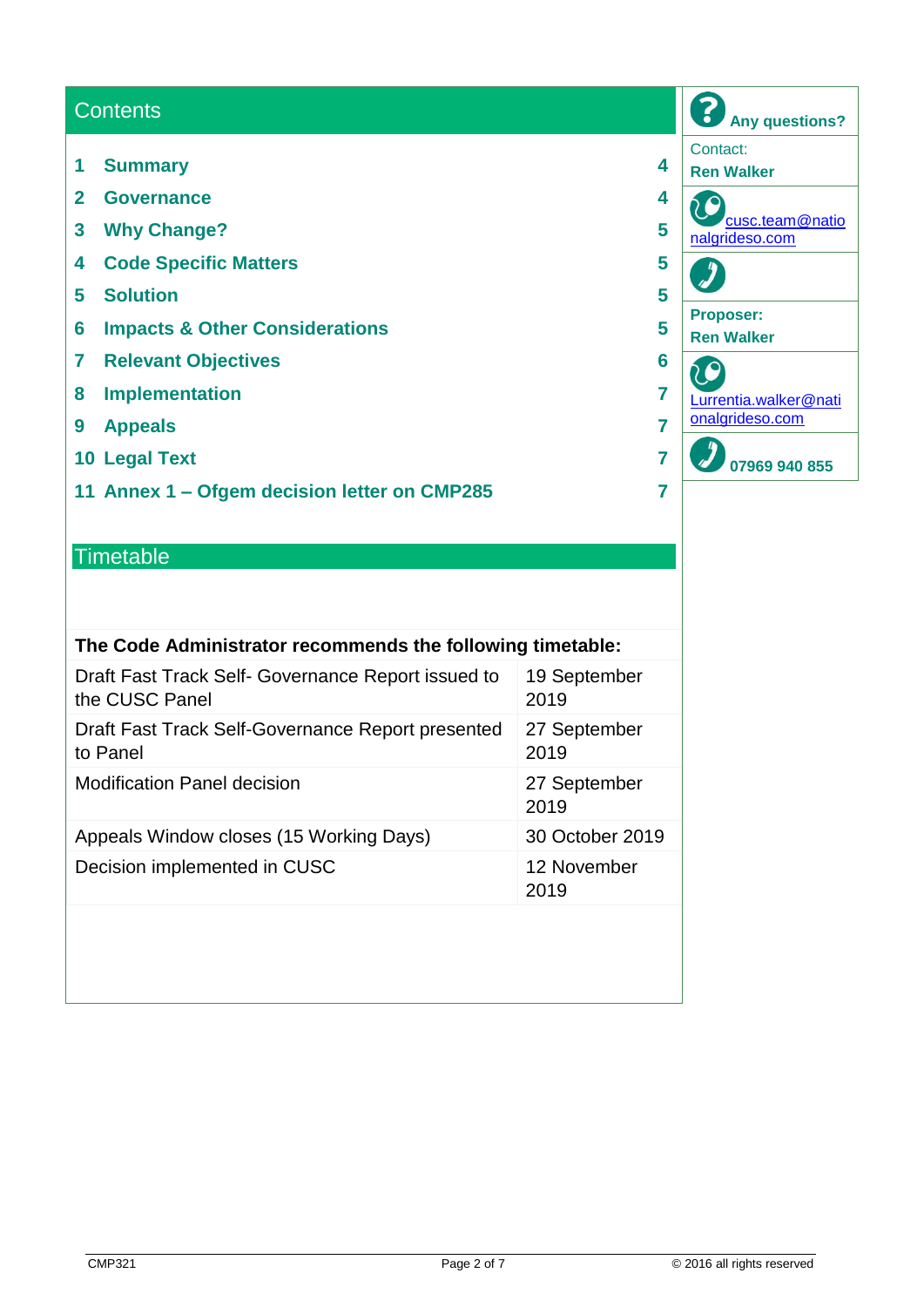## **Contents**

- **1 Summary 4**
- **2 Governance 4**
- **3 Why Change? 5**
- **4 Code Specific Matters 5**
- **5 Solution 5**
- **6 Impacts & Other Considerations 5**
- **7 Relevant Objectives 6**
- **8 Implementation 7**
- **9 Appeals 7**
- **10 Legal Text 7**
- **11 Annex 1 – Ofgem decision letter on CMP285 7**

### **Timetable**

| The Code Administrator recommends the following timetable:           |                      |  |  |  |
|----------------------------------------------------------------------|----------------------|--|--|--|
| Draft Fast Track Self- Governance Report issued to<br>the CUSC Panel | 19 September<br>2019 |  |  |  |
| Draft Fast Track Self-Governance Report presented<br>to Panel        | 27 September<br>2019 |  |  |  |
| <b>Modification Panel decision</b>                                   | 27 September<br>2019 |  |  |  |
| Appeals Window closes (15 Working Days)                              | 30 October 2019      |  |  |  |
| Decision implemented in CUSC                                         | 12 November<br>2019  |  |  |  |
|                                                                      |                      |  |  |  |

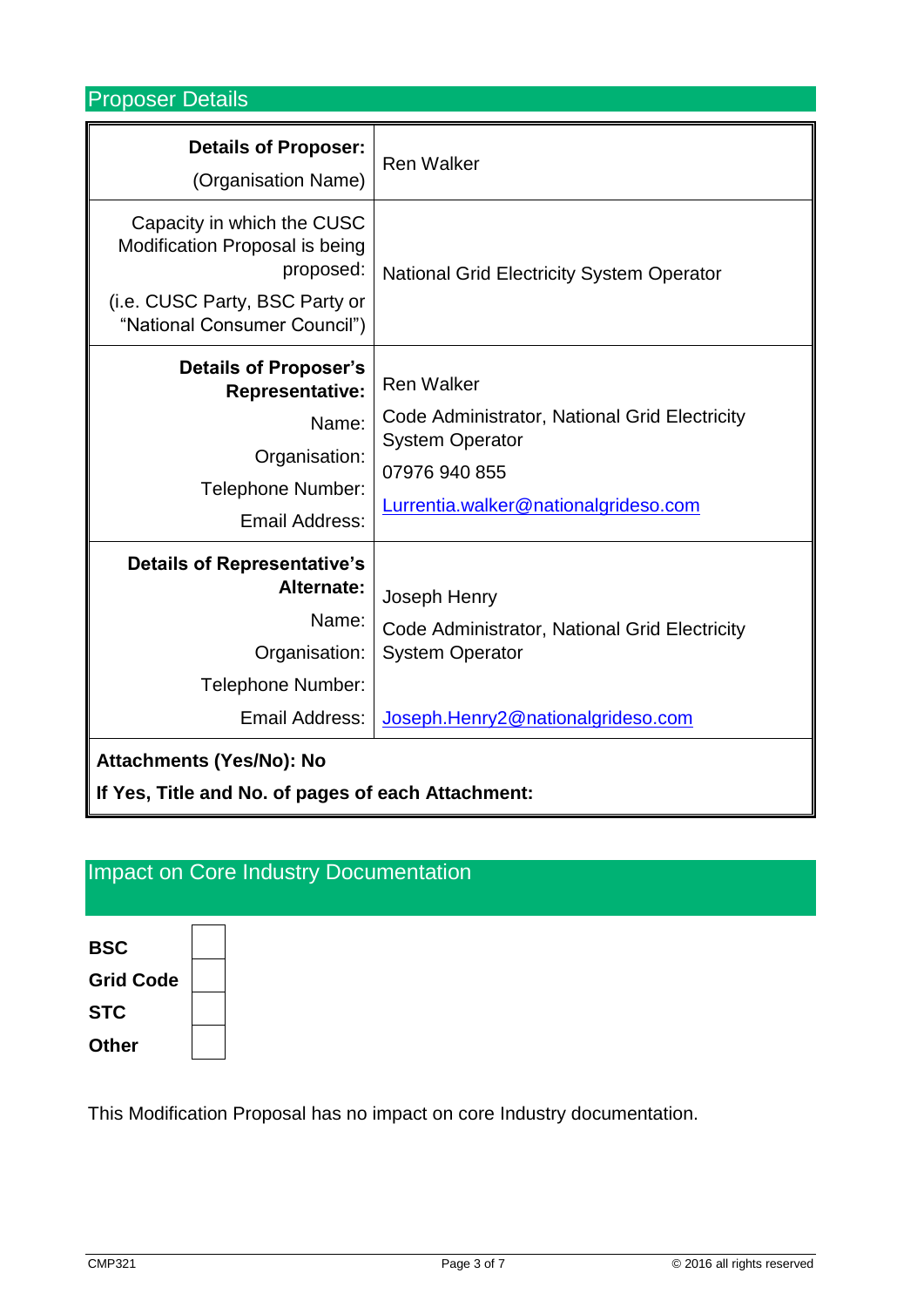Proposer Details

| <b>Details of Proposer:</b><br>(Organisation Name)<br>Capacity in which the CUSC<br>Modification Proposal is being<br>proposed:<br>(i.e. CUSC Party, BSC Party or                                   | <b>Ren Walker</b><br><b>National Grid Electricity System Operator</b>                                                                                 |
|-----------------------------------------------------------------------------------------------------------------------------------------------------------------------------------------------------|-------------------------------------------------------------------------------------------------------------------------------------------------------|
| "National Consumer Council")<br><b>Details of Proposer's</b><br><b>Representative:</b><br>Name:<br>Organisation:<br>Telephone Number:<br>Email Address:                                             | <b>Ren Walker</b><br>Code Administrator, National Grid Electricity<br><b>System Operator</b><br>07976 940 855<br>Lurrentia.walker@nationalgrideso.com |
| <b>Details of Representative's</b><br>Alternate:<br>Name:<br>Organisation:<br>Telephone Number:<br>Email Address:<br>Attachments (Yes/No): No<br>If Yes, Title and No. of pages of each Attachment: | Joseph Henry<br>Code Administrator, National Grid Electricity<br><b>System Operator</b><br>Joseph.Henry2@nationalgrideso.com                          |

# Impact on Core Industry Documentation



This Modification Proposal has no impact on core Industry documentation.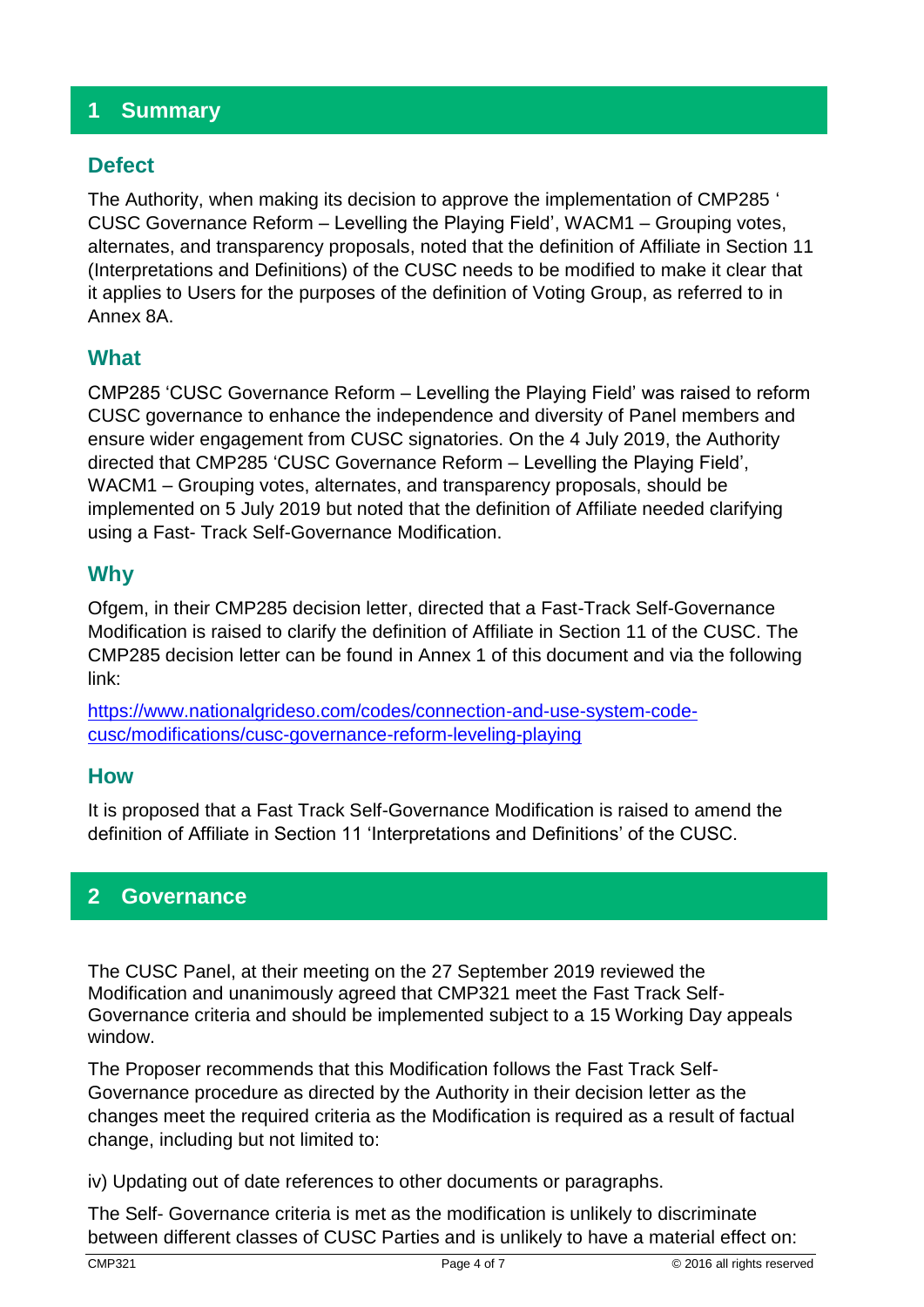## **1 Summary**

## **Defect**

The Authority, when making its decision to approve the implementation of CMP285 ' CUSC Governance Reform – Levelling the Playing Field', WACM1 – Grouping votes, alternates, and transparency proposals, noted that the definition of Affiliate in Section 11 (Interpretations and Definitions) of the CUSC needs to be modified to make it clear that it applies to Users for the purposes of the definition of Voting Group, as referred to in Annex 8A.

## **What**

CMP285 'CUSC Governance Reform – Levelling the Playing Field' was raised to reform CUSC governance to enhance the independence and diversity of Panel members and ensure wider engagement from CUSC signatories. On the 4 July 2019, the Authority directed that CMP285 'CUSC Governance Reform – Levelling the Playing Field', WACM1 – Grouping votes, alternates, and transparency proposals, should be implemented on 5 July 2019 but noted that the definition of Affiliate needed clarifying using a Fast- Track Self-Governance Modification.

## **Why**

Ofgem, in their CMP285 decision letter, directed that a Fast-Track Self-Governance Modification is raised to clarify the definition of Affiliate in Section 11 of the CUSC. The CMP285 decision letter can be found in Annex 1 of this document and via the following link:

[https://www.nationalgrideso.com/codes/connection-and-use-system-code](https://www.nationalgrideso.com/codes/connection-and-use-system-code-cusc/modifications/cusc-governance-reform-leveling-playing)[cusc/modifications/cusc-governance-reform-leveling-playing](https://www.nationalgrideso.com/codes/connection-and-use-system-code-cusc/modifications/cusc-governance-reform-leveling-playing)

### **How**

It is proposed that a Fast Track Self-Governance Modification is raised to amend the definition of Affiliate in Section 11 'Interpretations and Definitions' of the CUSC.

## **2 Governance**

The CUSC Panel, at their meeting on the 27 September 2019 reviewed the Modification and unanimously agreed that CMP321 meet the Fast Track Self-Governance criteria and should be implemented subject to a 15 Working Day appeals window.

The Proposer recommends that this Modification follows the Fast Track Self-Governance procedure as directed by the Authority in their decision letter as the changes meet the required criteria as the Modification is required as a result of factual change, including but not limited to:

iv) Updating out of date references to other documents or paragraphs.

The Self- Governance criteria is met as the modification is unlikely to discriminate between different classes of CUSC Parties and is unlikely to have a material effect on: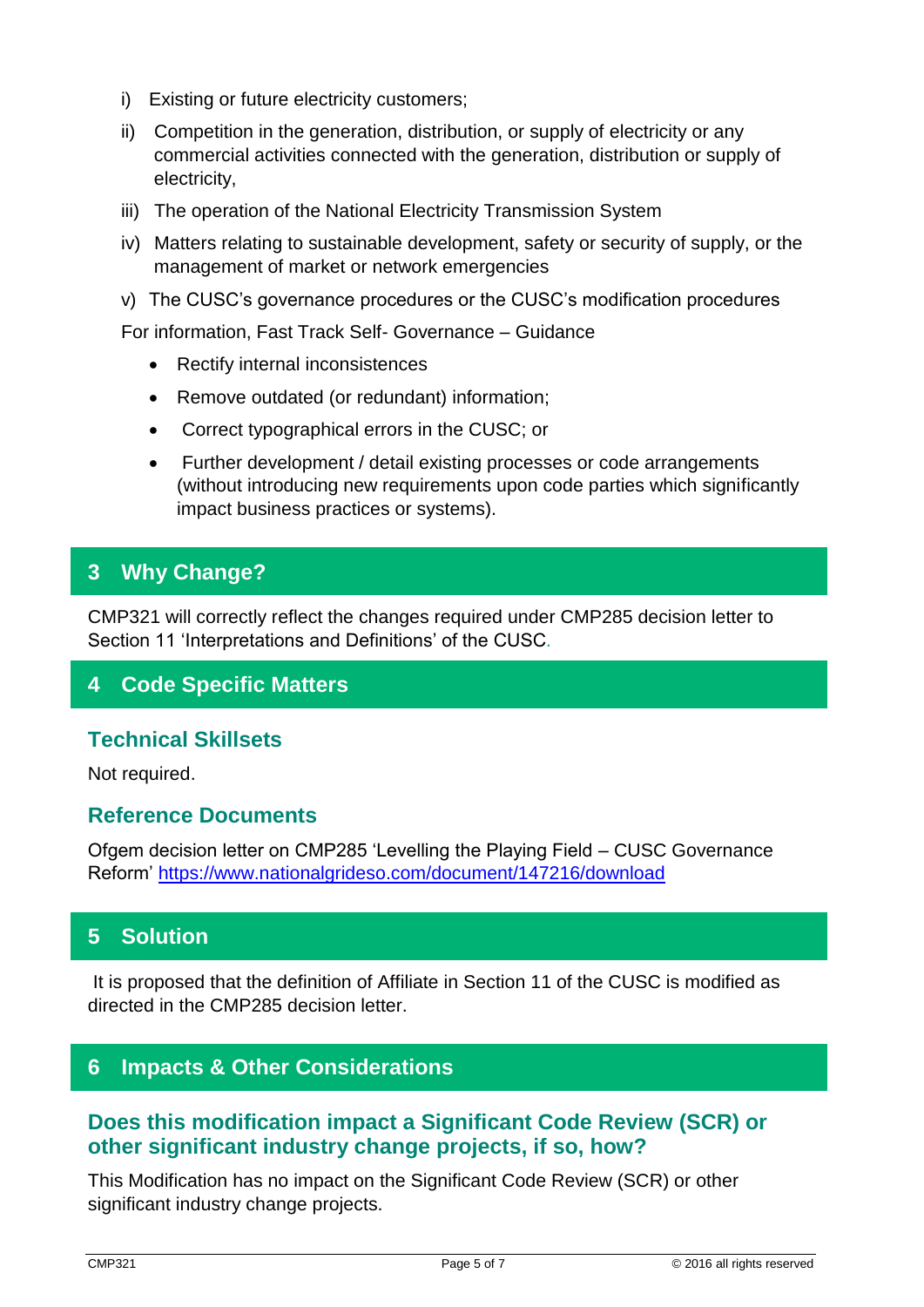- i) Existing or future electricity customers;
- ii) Competition in the generation, distribution, or supply of electricity or any commercial activities connected with the generation, distribution or supply of electricity,
- iii) The operation of the National Electricity Transmission System
- iv) Matters relating to sustainable development, safety or security of supply, or the management of market or network emergencies
- v) The CUSC's governance procedures or the CUSC's modification procedures

For information, Fast Track Self- Governance – Guidance

- Rectify internal inconsistences
- Remove outdated (or redundant) information;
- Correct typographical errors in the CUSC; or
- Further development / detail existing processes or code arrangements (without introducing new requirements upon code parties which significantly impact business practices or systems).

## **3 Why Change?**

CMP321 will correctly reflect the changes required under CMP285 decision letter to Section 11 'Interpretations and Definitions' of the CUSC*.* 

## **4 Code Specific Matters**

### **Technical Skillsets**

Not required.

### **Reference Documents**

Ofgem decision letter on CMP285 'Levelling the Playing Field – CUSC Governance Reform'<https://www.nationalgrideso.com/document/147216/download>

## **5 Solution**

It is proposed that the definition of Affiliate in Section 11 of the CUSC is modified as directed in the CMP285 decision letter.

### **6 Impacts & Other Considerations**

## **Does this modification impact a Significant Code Review (SCR) or other significant industry change projects, if so, how?**

This Modification has no impact on the Significant Code Review (SCR) or other significant industry change projects.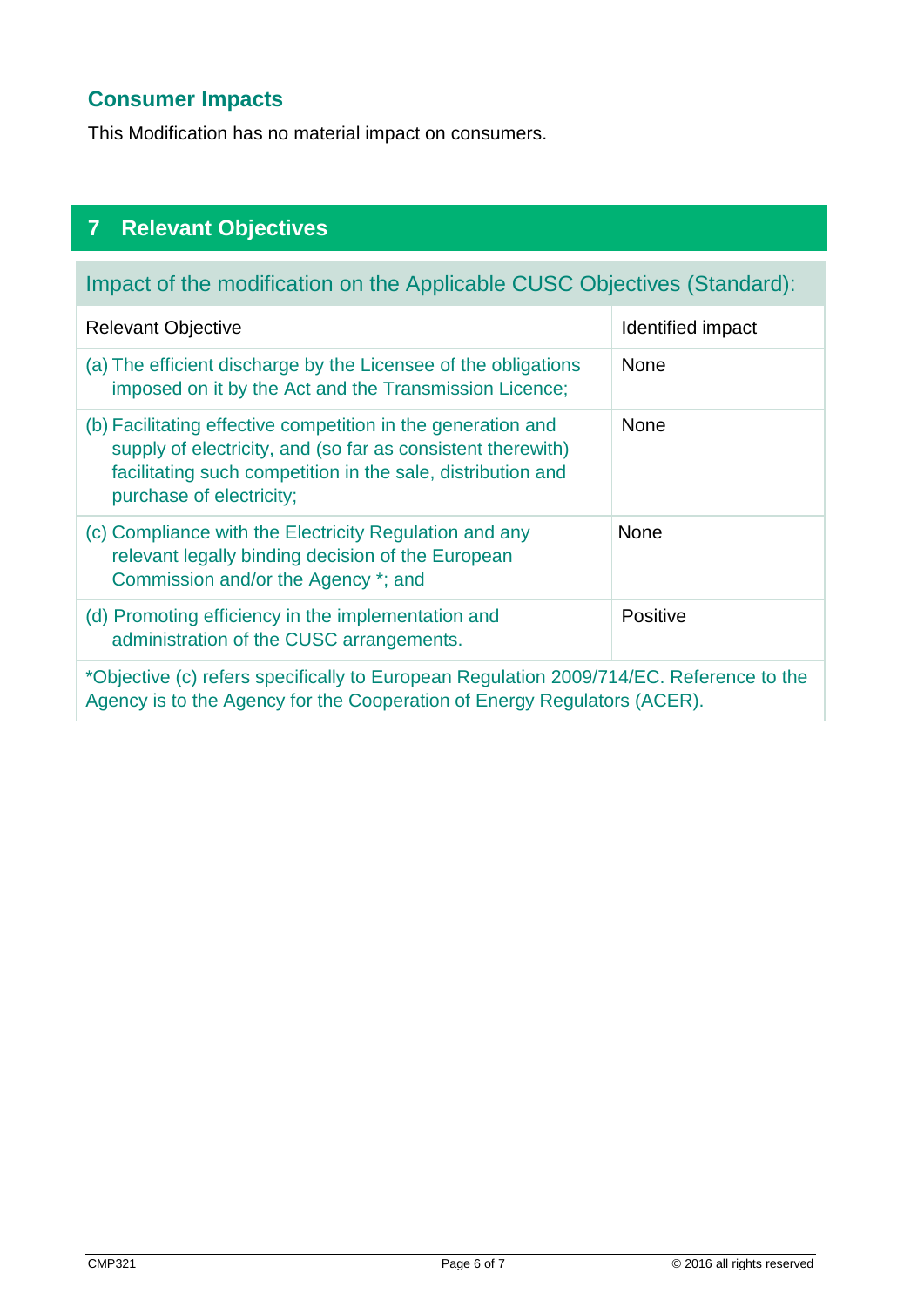# **Consumer Impacts**

This Modification has no material impact on consumers.

# **7 Relevant Objectives**

# Impact of the modification on the Applicable CUSC Objectives (Standard):

| <b>Relevant Objective</b>                                                                                                                                                                                              | Identified impact |  |  |
|------------------------------------------------------------------------------------------------------------------------------------------------------------------------------------------------------------------------|-------------------|--|--|
| (a) The efficient discharge by the Licensee of the obligations<br>imposed on it by the Act and the Transmission Licence;                                                                                               | <b>None</b>       |  |  |
| (b) Facilitating effective competition in the generation and<br>supply of electricity, and (so far as consistent therewith)<br>facilitating such competition in the sale, distribution and<br>purchase of electricity; | <b>None</b>       |  |  |
| (c) Compliance with the Electricity Regulation and any<br>relevant legally binding decision of the European<br>Commission and/or the Agency *; and                                                                     | None              |  |  |
| (d) Promoting efficiency in the implementation and<br>administration of the CUSC arrangements.                                                                                                                         | Positive          |  |  |
| *Objective (c) refers specifically to European Regulation 2009/714/EC. Reference to the<br>Agency is to the Agency for the Cooperation of Energy Regulators (ACER).                                                    |                   |  |  |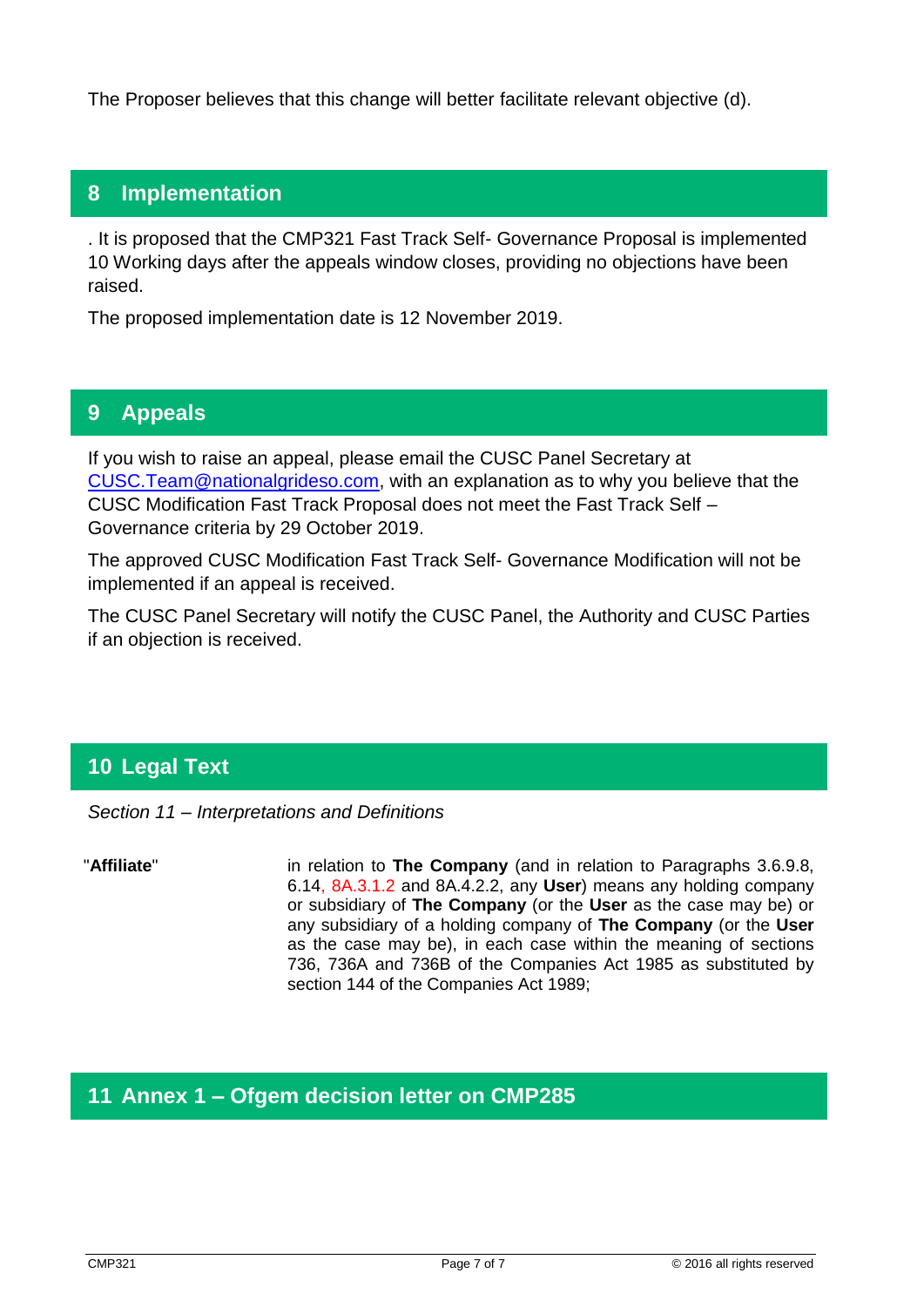The Proposer believes that this change will better facilitate relevant objective (d).

## **8 Implementation**

. It is proposed that the CMP321 Fast Track Self- Governance Proposal is implemented 10 Working days after the appeals window closes, providing no objections have been raised.

The proposed implementation date is 12 November 2019.

## **9 Appeals**

If you wish to raise an appeal, please email the CUSC Panel Secretary at [CUSC.Team@nationalgrideso.com,](mailto:CUSC.Team@nationalgrideso.com) with an explanation as to why you believe that the CUSC Modification Fast Track Proposal does not meet the Fast Track Self – Governance criteria by 29 October 2019.

The approved CUSC Modification Fast Track Self- Governance Modification will not be implemented if an appeal is received.

The CUSC Panel Secretary will notify the CUSC Panel, the Authority and CUSC Parties if an objection is received.

# **10 Legal Text**

*Section 11 – Interpretations and Definitions* 

 "**Affiliate**" in relation to **The Company** (and in relation to Paragraphs 3.6.9.8, 6.14, 8A.3.1.2 and 8A.4.2.2, any **User**) means any holding company or subsidiary of **The Company** (or the **User** as the case may be) or any subsidiary of a holding company of **The Company** (or the **User** as the case may be), in each case within the meaning of sections 736, 736A and 736B of the Companies Act 1985 as substituted by section 144 of the Companies Act 1989;

## **11 Annex 1 – Ofgem decision letter on CMP285**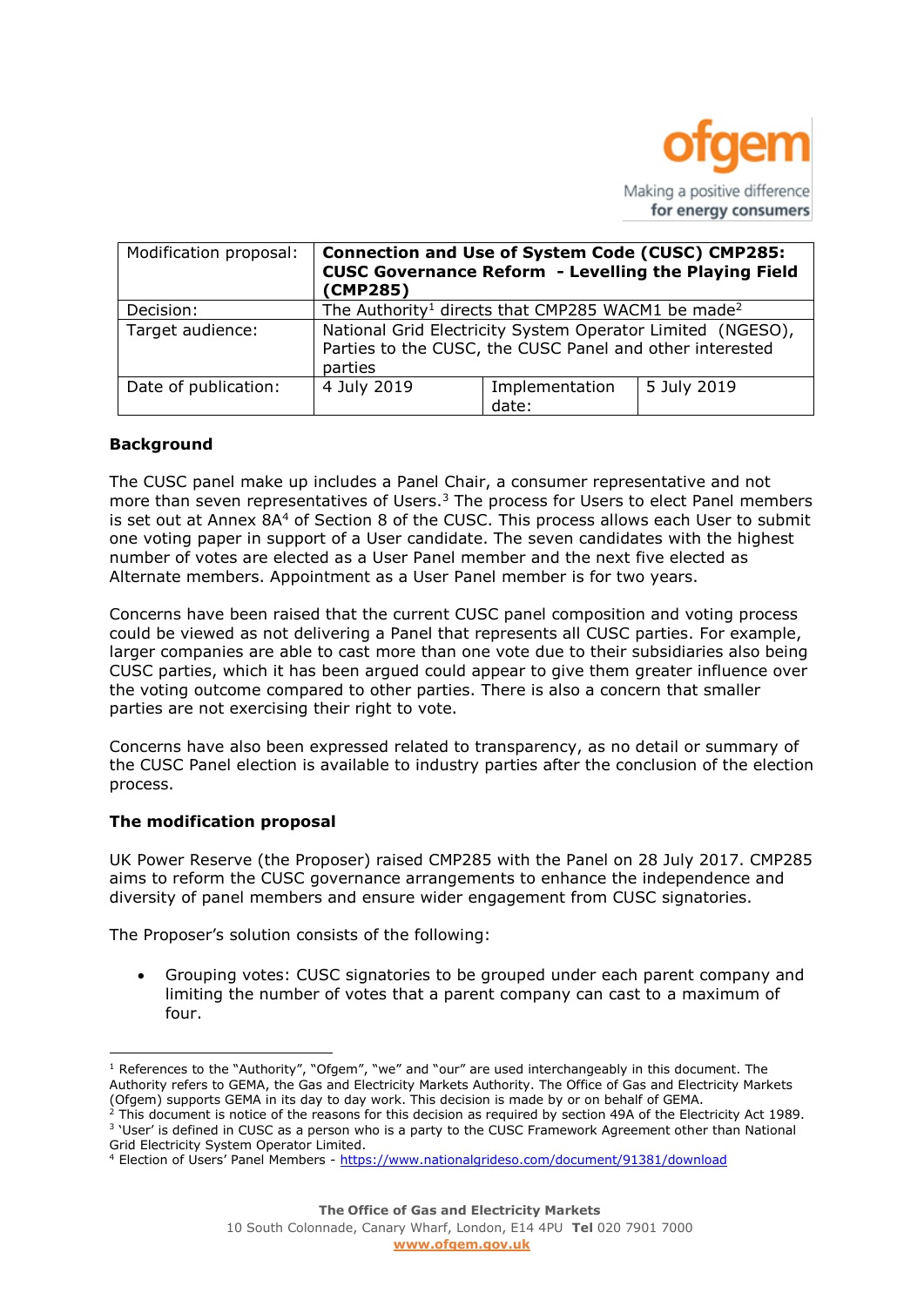

| Modification proposal:      | <b>Connection and Use of System Code (CUSC) CMP285:</b><br><b>CUSC Governance Reform - Levelling the Playing Field</b><br>(CMP285) |                                                                                                                        |             |  |
|-----------------------------|------------------------------------------------------------------------------------------------------------------------------------|------------------------------------------------------------------------------------------------------------------------|-------------|--|
| Decision:                   | The Authority <sup>1</sup> directs that CMP285 WACM1 be made <sup>2</sup>                                                          |                                                                                                                        |             |  |
| Target audience:<br>parties |                                                                                                                                    | National Grid Electricity System Operator Limited (NGESO),<br>Parties to the CUSC, the CUSC Panel and other interested |             |  |
| Date of publication:        | 4 July 2019                                                                                                                        | Implementation<br>date:                                                                                                | 5 July 2019 |  |

### **Background**

The CUSC panel make up includes a Panel Chair, a consumer representative and not more than seven representatives of Users.<sup>3</sup> The process for Users to elect Panel members is set out at Annex 8A<sup>4</sup> of Section 8 of the CUSC. This process allows each User to submit one voting paper in support of a User candidate. The seven candidates with the highest number of votes are elected as a User Panel member and the next five elected as Alternate members. Appointment as a User Panel member is for two years.

Concerns have been raised that the current CUSC panel composition and voting process could be viewed as not delivering a Panel that represents all CUSC parties. For example, larger companies are able to cast more than one vote due to their subsidiaries also being CUSC parties, which it has been argued could appear to give them greater influence over the voting outcome compared to other parties. There is also a concern that smaller parties are not exercising their right to vote.

Concerns have also been expressed related to transparency, as no detail or summary of the CUSC Panel election is available to industry parties after the conclusion of the election process.

#### **The modification proposal**

 $\overline{a}$ 

UK Power Reserve (the Proposer) raised CMP285 with the Panel on 28 July 2017. CMP285 aims to reform the CUSC governance arrangements to enhance the independence and diversity of panel members and ensure wider engagement from CUSC signatories.

The Proposer's solution consists of the following:

 Grouping votes: CUSC signatories to be grouped under each parent company and limiting the number of votes that a parent company can cast to a maximum of four.

 $<sup>1</sup>$  References to the "Authority", "Ofgem", "we" and "our" are used interchangeably in this document. The</sup> Authority refers to GEMA, the Gas and Electricity Markets Authority. The Office of Gas and Electricity Markets (Ofgem) supports GEMA in its day to day work. This decision is made by or on behalf of GEMA.

 $^2$  This document is notice of the reasons for this decision as required by section 49A of the Electricity Act 1989. <sup>3</sup> 'User' is defined in CUSC as a person who is a party to the CUSC Framework Agreement other than National Grid Electricity System Operator Limited.

<sup>4</sup> Election of Users' Panel Members - <https://www.nationalgrideso.com/document/91381/download>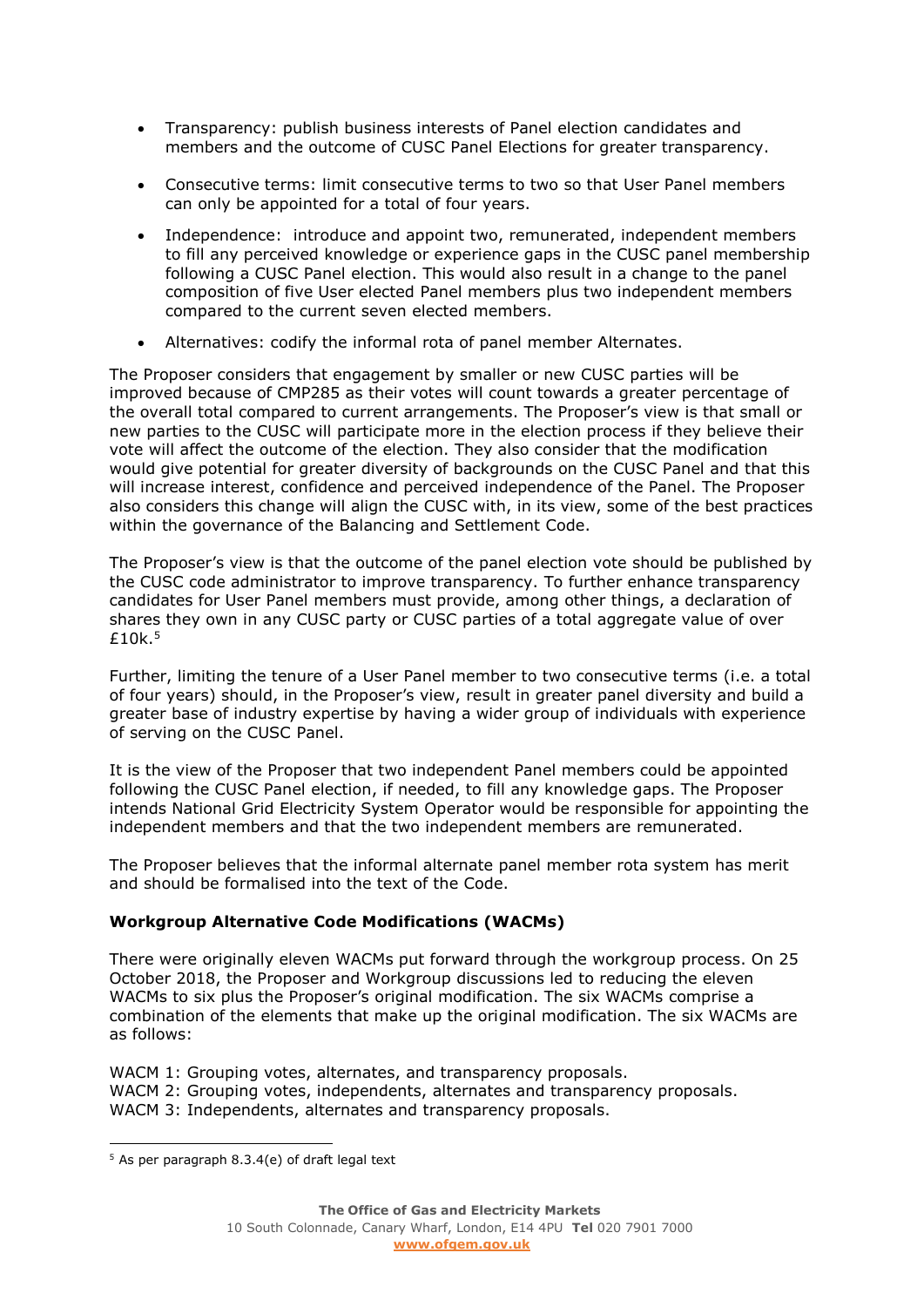- Transparency: publish business interests of Panel election candidates and members and the outcome of CUSC Panel Elections for greater transparency.
- Consecutive terms: limit consecutive terms to two so that User Panel members can only be appointed for a total of four years.
- Independence: introduce and appoint two, remunerated, independent members to fill any perceived knowledge or experience gaps in the CUSC panel membership following a CUSC Panel election. This would also result in a change to the panel composition of five User elected Panel members plus two independent members compared to the current seven elected members.
- Alternatives: codify the informal rota of panel member Alternates.

The Proposer considers that engagement by smaller or new CUSC parties will be improved because of CMP285 as their votes will count towards a greater percentage of the overall total compared to current arrangements. The Proposer's view is that small or new parties to the CUSC will participate more in the election process if they believe their vote will affect the outcome of the election. They also consider that the modification would give potential for greater diversity of backgrounds on the CUSC Panel and that this will increase interest, confidence and perceived independence of the Panel. The Proposer also considers this change will align the CUSC with, in its view, some of the best practices within the governance of the Balancing and Settlement Code.

The Proposer's view is that the outcome of the panel election vote should be published by the CUSC code administrator to improve transparency. To further enhance transparency candidates for User Panel members must provide, among other things, a declaration of shares they own in any CUSC party or CUSC parties of a total aggregate value of over £10k. 5

Further, limiting the tenure of a User Panel member to two consecutive terms (i.e. a total of four years) should, in the Proposer's view, result in greater panel diversity and build a greater base of industry expertise by having a wider group of individuals with experience of serving on the CUSC Panel.

It is the view of the Proposer that two independent Panel members could be appointed following the CUSC Panel election, if needed, to fill any knowledge gaps. The Proposer intends National Grid Electricity System Operator would be responsible for appointing the independent members and that the two independent members are remunerated.

The Proposer believes that the informal alternate panel member rota system has merit and should be formalised into the text of the Code.

### **Workgroup Alternative Code Modifications (WACMs)**

There were originally eleven WACMs put forward through the workgroup process. On 25 October 2018, the Proposer and Workgroup discussions led to reducing the eleven WACMs to six plus the Proposer's original modification. The six WACMs comprise a combination of the elements that make up the original modification. The six WACMs are as follows:

WACM 1: Grouping votes, alternates, and transparency proposals. WACM 2: Grouping votes, independents, alternates and transparency proposals. WACM 3: Independents, alternates and transparency proposals.

 $\overline{a}$ 

 $5$  As per paragraph 8.3.4(e) of draft legal text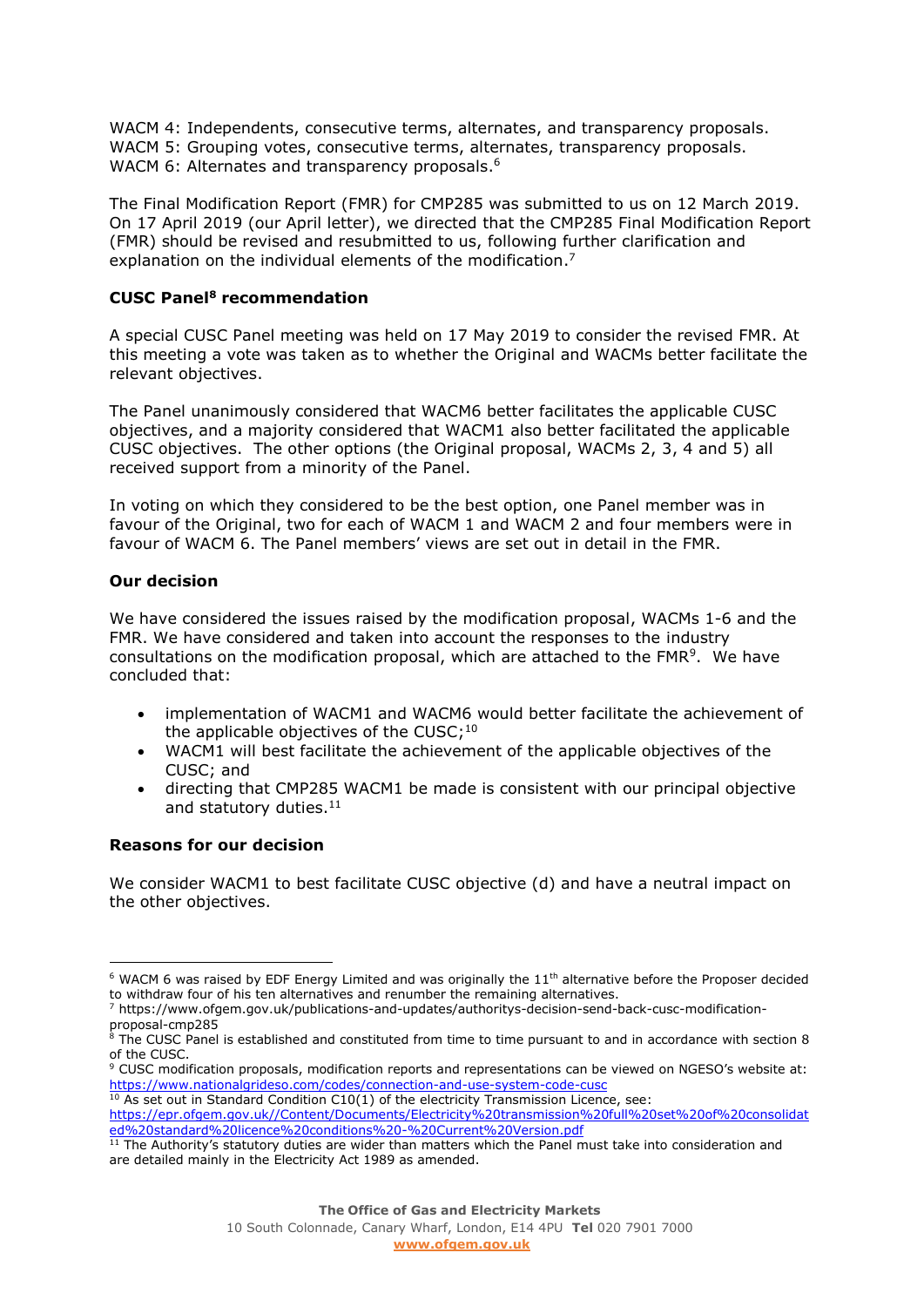WACM 4: Independents, consecutive terms, alternates, and transparency proposals. WACM 5: Grouping votes, consecutive terms, alternates, transparency proposals. WACM 6: Alternates and transparency proposals. 6

The Final Modification Report (FMR) for CMP285 was submitted to us on 12 March 2019. On 17 April 2019 (our April letter), we directed that the CMP285 Final Modification Report (FMR) should be revised and resubmitted to us, following further clarification and explanation on the individual elements of the modification. 7

### **CUSC Panel<sup>8</sup> recommendation**

A special CUSC Panel meeting was held on 17 May 2019 to consider the revised FMR. At this meeting a vote was taken as to whether the Original and WACMs better facilitate the relevant objectives.

The Panel unanimously considered that WACM6 better facilitates the applicable CUSC objectives, and a majority considered that WACM1 also better facilitated the applicable CUSC objectives. The other options (the Original proposal, WACMs 2, 3, 4 and 5) all received support from a minority of the Panel.

In voting on which they considered to be the best option, one Panel member was in favour of the Original, two for each of WACM 1 and WACM 2 and four members were in favour of WACM 6. The Panel members' views are set out in detail in the FMR.

### **Our decision**

We have considered the issues raised by the modification proposal, WACMs 1-6 and the FMR. We have considered and taken into account the responses to the industry consultations on the modification proposal, which are attached to the FMR<sup>9</sup>. We have concluded that:

- implementation of WACM1 and WACM6 would better facilitate the achievement of the applicable objectives of the CUSC;  $^{10}$
- WACM1 will best facilitate the achievement of the applicable objectives of the CUSC; and
- directing that CMP285 WACM1 be made is consistent with our principal objective and statutory duties. 11

### **Reasons for our decision**

We consider WACM1 to best facilitate CUSC objective (d) and have a neutral impact on the other objectives.

 $6$  WACM 6 was raised by EDF Energy Limited and was originally the  $11<sup>th</sup>$  alternative before the Proposer decided to withdraw four of his ten alternatives and renumber the remaining alternatives.

<sup>7</sup> https://www.ofgem.gov.uk/publications-and-updates/authoritys-decision-send-back-cusc-modificationproposal-cmp285

 $8$  The CUSC Panel is established and constituted from time to time pursuant to and in accordance with section 8 of the CUSC.

<sup>9</sup> CUSC modification proposals, modification reports and representations can be viewed on NGESO's website at: <https://www.nationalgrideso.com/codes/connection-and-use-system-code-cusc>

 $10$  As set out in Standard Condition C10(1) of the electricity Transmission Licence, see:

[https://epr.ofgem.gov.uk//Content/Documents/Electricity%20transmission%20full%20set%20of%20consolidat](https://epr.ofgem.gov.uk/Content/Documents/Electricity%20transmission%20full%20set%20of%20consolidated%20standard%20licence%20conditions%20-%20Current%20Version.pdf) [ed%20standard%20licence%20conditions%20-%20Current%20Version.pdf](https://epr.ofgem.gov.uk/Content/Documents/Electricity%20transmission%20full%20set%20of%20consolidated%20standard%20licence%20conditions%20-%20Current%20Version.pdf)

<sup>&</sup>lt;sup>11</sup> The Authority's statutory duties are wider than matters which the Panel must take into consideration and are detailed mainly in the Electricity Act 1989 as amended.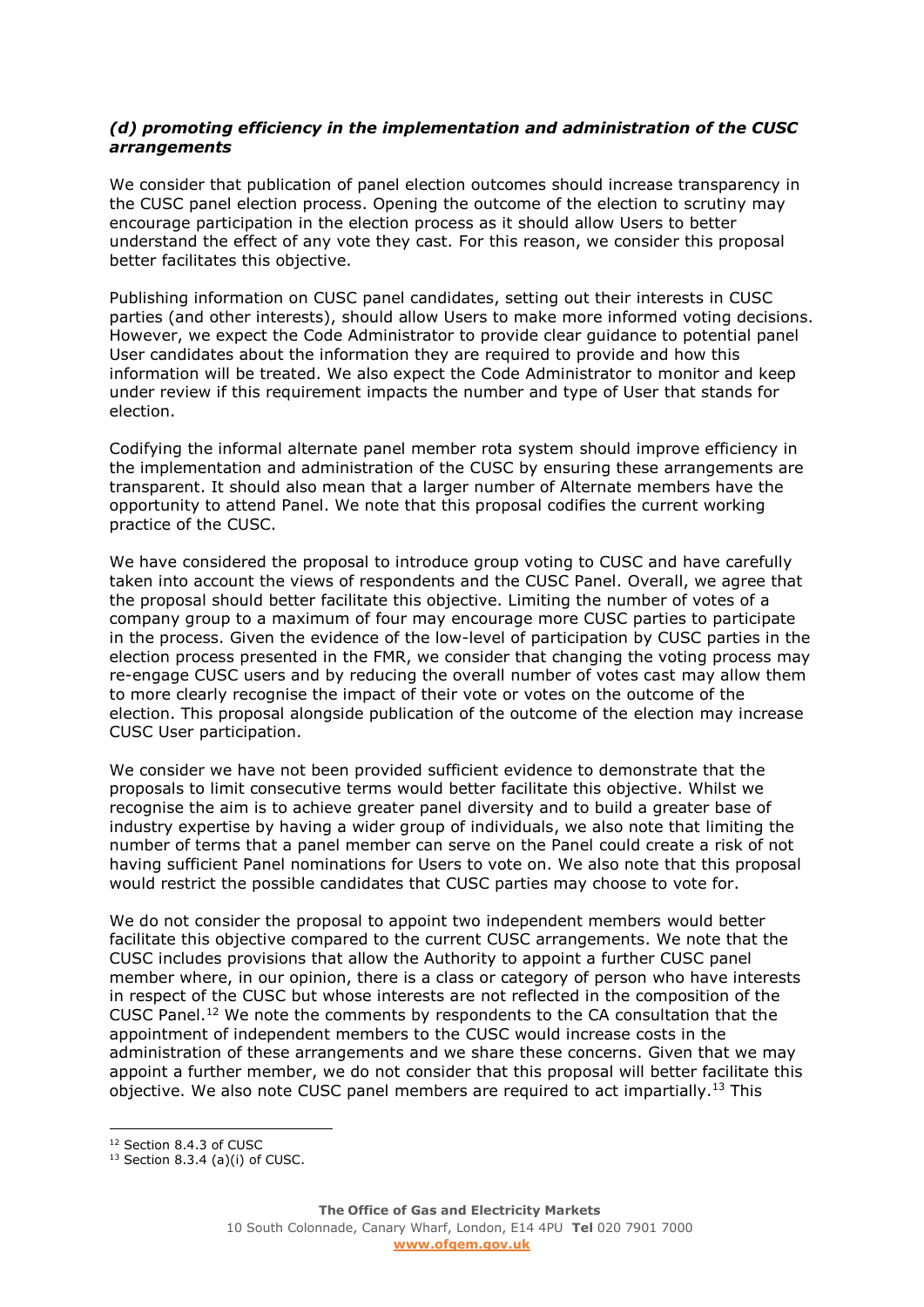#### *(d) promoting efficiency in the implementation and administration of the CUSC arrangements*

We consider that publication of panel election outcomes should increase transparency in the CUSC panel election process. Opening the outcome of the election to scrutiny may encourage participation in the election process as it should allow Users to better understand the effect of any vote they cast. For this reason, we consider this proposal better facilitates this objective.

Publishing information on CUSC panel candidates, setting out their interests in CUSC parties (and other interests), should allow Users to make more informed voting decisions. However, we expect the Code Administrator to provide clear guidance to potential panel User candidates about the information they are required to provide and how this information will be treated. We also expect the Code Administrator to monitor and keep under review if this requirement impacts the number and type of User that stands for election.

Codifying the informal alternate panel member rota system should improve efficiency in the implementation and administration of the CUSC by ensuring these arrangements are transparent. It should also mean that a larger number of Alternate members have the opportunity to attend Panel. We note that this proposal codifies the current working practice of the CUSC.

We have considered the proposal to introduce group voting to CUSC and have carefully taken into account the views of respondents and the CUSC Panel. Overall, we agree that the proposal should better facilitate this objective. Limiting the number of votes of a company group to a maximum of four may encourage more CUSC parties to participate in the process. Given the evidence of the low-level of participation by CUSC parties in the election process presented in the FMR, we consider that changing the voting process may re-engage CUSC users and by reducing the overall number of votes cast may allow them to more clearly recognise the impact of their vote or votes on the outcome of the election. This proposal alongside publication of the outcome of the election may increase CUSC User participation.

We consider we have not been provided sufficient evidence to demonstrate that the proposals to limit consecutive terms would better facilitate this objective. Whilst we recognise the aim is to achieve greater panel diversity and to build a greater base of industry expertise by having a wider group of individuals, we also note that limiting the number of terms that a panel member can serve on the Panel could create a risk of not having sufficient Panel nominations for Users to vote on. We also note that this proposal would restrict the possible candidates that CUSC parties may choose to vote for.

We do not consider the proposal to appoint two independent members would better facilitate this objective compared to the current CUSC arrangements. We note that the CUSC includes provisions that allow the Authority to appoint a further CUSC panel member where, in our opinion, there is a class or category of person who have interests in respect of the CUSC but whose interests are not reflected in the composition of the CUSC Panel.<sup>12</sup> We note the comments by respondents to the CA consultation that the appointment of independent members to the CUSC would increase costs in the administration of these arrangements and we share these concerns. Given that we may appoint a further member, we do not consider that this proposal will better facilitate this objective. We also note CUSC panel members are required to act impartially.<sup>13</sup> This

<sup>&</sup>lt;sup>12</sup> Section 8.4.3 of CUSC

 $13$  Section 8.3.4 (a)(i) of CUSC.